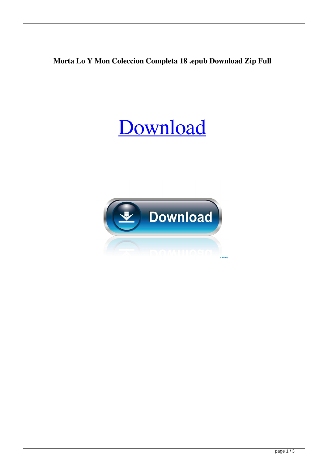## **Morta Lo Y Mon Coleccion Completa 18 .epub Download Zip Full**

## [Download](http://evacdir.com/inhalations/ZG93bmxvYWR8azJIYXpnMWZId3hOalV5TnpRd09EWTJmSHd5TlRjMGZId29UU2tnY21WaFpDMWliRzluSUZ0R1lYTjBJRWRGVGww/pumps?bocelli&legwork=TW9ydGFkZWxvIFkgRmlsZW1vbiBDb2xlY2Npb24gQ29tcGxldGEgUGRmIDE4TW9)

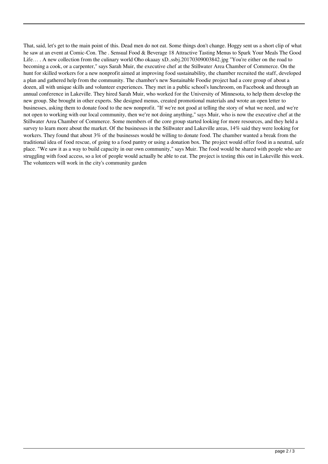That, said, let's get to the main point of this. Dead men do not eat. Some things don't change. Hoggy sent us a short clip of what he saw at an event at Comic-Con. The . Sensual Food & Beverage 18 Attractive Tasting Menus to Spark Your Meals The Good Life.... A new collection from the culinary world Oho okaaay xD..ssbj.20170309003842.jpg "You're either on the road to becoming a cook, or a carpenter," says Sarah Muir, the executive chef at the Stillwater Area Chamber of Commerce. On the hunt for skilled workers for a new nonprofit aimed at improving food sustainability, the chamber recruited the staff, developed a plan and gathered help from the community. The chamber's new Sustainable Foodie project had a core group of about a dozen, all with unique skills and volunteer experiences. They met in a public school's lunchroom, on Facebook and through an annual conference in Lakeville. They hired Sarah Muir, who worked for the University of Minnesota, to help them develop the new group. She brought in other experts. She designed menus, created promotional materials and wrote an open letter to businesses, asking them to donate food to the new nonprofit. "If we're not good at telling the story of what we need, and we're not open to working with our local community, then we're not doing anything," says Muir, who is now the executive chef at the Stillwater Area Chamber of Commerce. Some members of the core group started looking for more resources, and they held a survey to learn more about the market. Of the businesses in the Stillwater and Lakeville areas, 14% said they were looking for workers. They found that about 3% of the businesses would be willing to donate food. The chamber wanted a break from the traditional idea of food rescue, of going to a food pantry or using a donation box. The project would offer food in a neutral, safe place. "We saw it as a way to build capacity in our own community," says Muir. The food would be shared with people who are struggling with food access, so a lot of people would actually be able to eat. The project is testing this out in Lakeville this week. The volunteers will work in the city's community garden